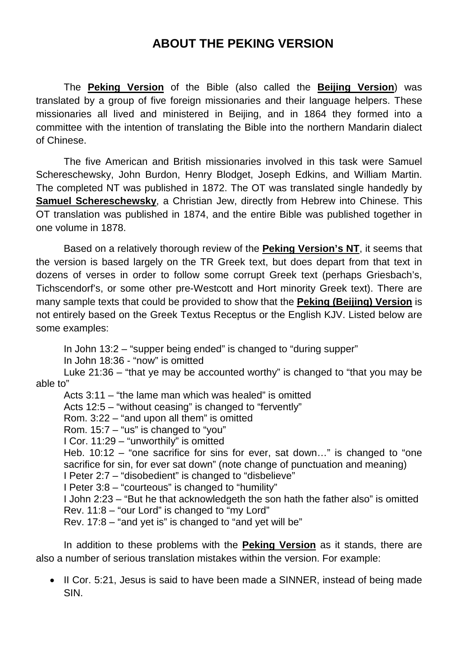## **ABOUT THE PEKING VERSION**

The **Peking Version** of the Bible (also called the **Beijing Version**) was translated by a group of five foreign missionaries and their language helpers. These missionaries all lived and ministered in Beijing, and in 1864 they formed into a committee with the intention of translating the Bible into the northern Mandarin dialect of Chinese.

The five American and British missionaries involved in this task were Samuel Schereschewsky, John Burdon, Henry Blodget, Joseph Edkins, and William Martin. The completed NT was published in 1872. The OT was translated single handedly by **Samuel Schereschewsky**, a Christian Jew, directly from Hebrew into Chinese. This OT translation was published in 1874, and the entire Bible was published together in one volume in 1878.

Based on a relatively thorough review of the **Peking Version's NT**, it seems that the version is based largely on the TR Greek text, but does depart from that text in dozens of verses in order to follow some corrupt Greek text (perhaps Griesbach's, Tichscendorf's, or some other pre-Westcott and Hort minority Greek text). There are many sample texts that could be provided to show that the **Peking (Beijing) Version** is not entirely based on the Greek Textus Receptus or the English KJV. Listed below are some examples:

In John 13:2 – "supper being ended" is changed to "during supper"

In John 18:36 - "now" is omitted

Luke 21:36 – "that ye may be accounted worthy" is changed to "that you may be able to"

Acts 3:11 – "the lame man which was healed" is omitted

Acts 12:5 – "without ceasing" is changed to "fervently"

Rom. 3:22 – "and upon all them" is omitted

Rom. 15:7 – "us" is changed to "you"

I Cor. 11:29 – "unworthily" is omitted

Heb. 10:12 – "one sacrifice for sins for ever, sat down…" is changed to "one sacrifice for sin, for ever sat down" (note change of punctuation and meaning)

I Peter 2:7 – "disobedient" is changed to "disbelieve"

I Peter 3:8 – "courteous" is changed to "humility"

I John 2:23 – "But he that acknowledgeth the son hath the father also" is omitted Rev. 11:8 – "our Lord" is changed to "my Lord"

Rev. 17:8 – "and yet is" is changed to "and yet will be"

In addition to these problems with the **Peking Version** as it stands, there are also a number of serious translation mistakes within the version. For example:

• II Cor. 5:21, Jesus is said to have been made a SINNER, instead of being made SIN.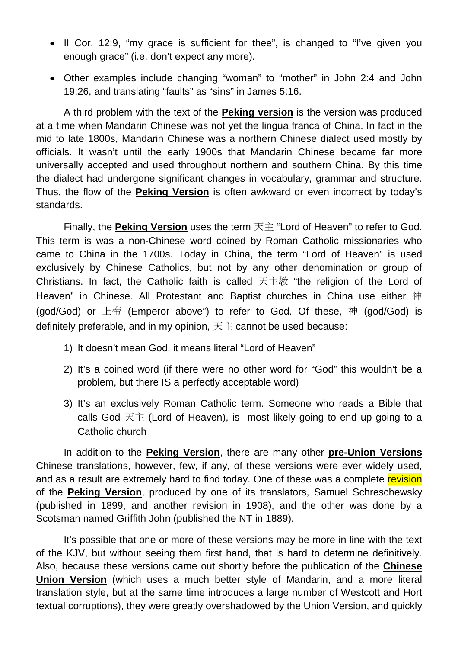- Il Cor. 12:9, "my grace is sufficient for thee", is changed to "I've given you enough grace" (i.e. don't expect any more).
- Other examples include changing "woman" to "mother" in John 2:4 and John 19:26, and translating "faults" as "sins" in James 5:16.

A third problem with the text of the **Peking version** is the version was produced at a time when Mandarin Chinese was not yet the lingua franca of China. In fact in the mid to late 1800s, Mandarin Chinese was a northern Chinese dialect used mostly by officials. It wasn't until the early 1900s that Mandarin Chinese became far more universally accepted and used throughout northern and southern China. By this time the dialect had undergone significant changes in vocabulary, grammar and structure. Thus, the flow of the **Peking Version** is often awkward or even incorrect by today's standards.

Finally, the **Peking Version** uses the term 天主 "Lord of Heaven" to refer to God. This term is was a non-Chinese word coined by Roman Catholic missionaries who came to China in the 1700s. Today in China, the term "Lord of Heaven" is used exclusively by Chinese Catholics, but not by any other denomination or group of Christians. In fact, the Catholic faith is called 天主教 "the religion of the Lord of Heaven" in Chinese. All Protestant and Baptist churches in China use either 神 (god/God) or 上帝 (Emperor above") to refer to God. Of these, 神 (god/God) is definitely preferable, and in my opinion,  $\overline{R}$   $\pm$  cannot be used because:

- 1) It doesn't mean God, it means literal "Lord of Heaven"
- 2) It's a coined word (if there were no other word for "God" this wouldn't be a problem, but there IS a perfectly acceptable word)
- 3) It's an exclusively Roman Catholic term. Someone who reads a Bible that calls God 天主 (Lord of Heaven), is most likely going to end up going to a Catholic church

In addition to the **Peking Version**, there are many other **pre-Union Versions** Chinese translations, however, few, if any, of these versions were ever widely used, and as a result are extremely hard to find today. One of these was a complete revision of the **Peking Version**, produced by one of its translators, Samuel Schreschewsky (published in 1899, and another revision in 1908), and the other was done by a Scotsman named Griffith John (published the NT in 1889).

It's possible that one or more of these versions may be more in line with the text of the KJV, but without seeing them first hand, that is hard to determine definitively. Also, because these versions came out shortly before the publication of the **Chinese Union Version** (which uses a much better style of Mandarin, and a more literal translation style, but at the same time introduces a large number of Westcott and Hort textual corruptions), they were greatly overshadowed by the Union Version, and quickly